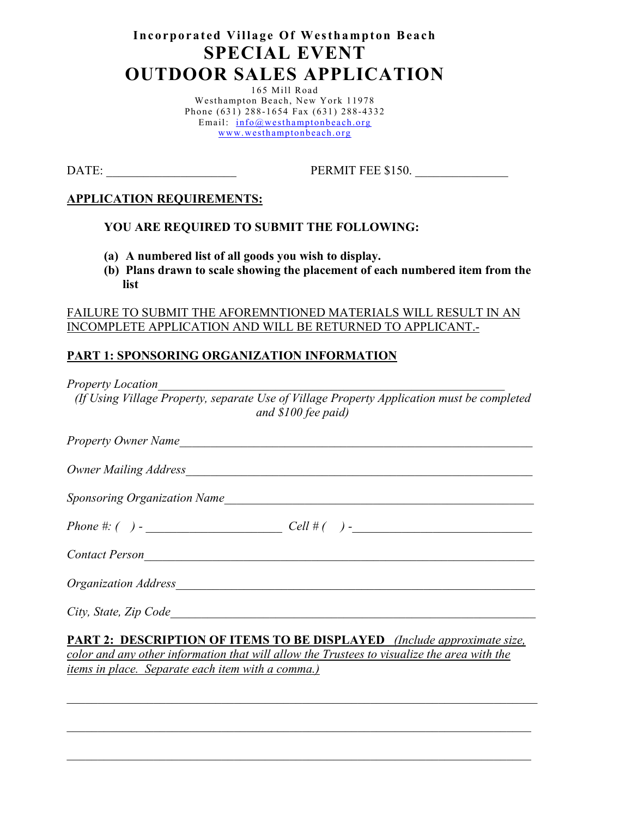# **Incorporated Village Of Westhampton Beach SPECIAL EVENT OUTDOOR SALES APPLICATION**

165 Mill Road Westhampton Beach, New York 11978 Phone (631) 288-1654 Fax (631) 288-4332 Email: [info@westhamptonbeach.org](mailto:info@westhamptonbeach.org) [www.westhamptonbeach.org](http://www.westhamptonbeach.org/)

DATE: PERMIT FEE \$150.

#### **APPLICATION REQUIREMENTS:**

#### **YOU ARE REQUIRED TO SUBMIT THE FOLLOWING:**

- **(a) A numbered list of all goods you wish to display.**
- **(b) Plans drawn to scale showing the placement of each numbered item from the list**

#### FAILURE TO SUBMIT THE AFOREMNTIONED MATERIALS WILL RESULT IN AN INCOMPLETE APPLICATION AND WILL BE RETURNED TO APPLICANT.-

### **PART 1: SPONSORING ORGANIZATION INFORMATION**

*Property Location* 

*(If Using Village Property, separate Use of Village Property Application must be completed and \$100 fee paid)*

| Property Owner Name                                                                                                                                                                                                            |                                                                                      |
|--------------------------------------------------------------------------------------------------------------------------------------------------------------------------------------------------------------------------------|--------------------------------------------------------------------------------------|
|                                                                                                                                                                                                                                |                                                                                      |
|                                                                                                                                                                                                                                | <b>Sponsoring Organization Name</b> Sponsoring Organization Name                     |
|                                                                                                                                                                                                                                |                                                                                      |
| Contact Person                                                                                                                                                                                                                 |                                                                                      |
| Organization Address expression of the contract of the contract of the contract of the contract of the contract of the contract of the contract of the contract of the contract of the contract of the contract of the contrac |                                                                                      |
| City, State, Zip Code                                                                                                                                                                                                          |                                                                                      |
|                                                                                                                                                                                                                                | <b>DADT 2. DESCRIPTION OF ITEMS TO BE DISPLAVED</b> <i>(Include approximate size</i> |

**<u>PESCRIPTION OF ITEMS TO BE DISPLAYED** *(Include approximate size,*</u> *color and any other information that will allow the Trustees to visualize the area with the items in place. Separate each item with a comma.)*

*\_\_\_\_\_\_\_\_\_\_\_\_\_\_\_\_\_\_\_\_\_\_\_\_\_\_\_\_\_\_\_\_\_\_\_\_\_\_\_\_\_\_\_\_\_\_\_\_\_\_\_\_\_\_\_\_\_\_\_\_\_\_\_\_\_\_\_\_\_\_\_\_\_\_\_\_*

*\_\_\_\_\_\_\_\_\_\_\_\_\_\_\_\_\_\_\_\_\_\_\_\_\_\_\_\_\_\_\_\_\_\_\_\_\_\_\_\_\_\_\_\_\_\_\_\_\_\_\_\_\_\_\_\_\_\_\_\_\_\_\_\_\_\_\_\_\_\_\_\_\_\_\_*

*\_\_\_\_\_\_\_\_\_\_\_\_\_\_\_\_\_\_\_\_\_\_\_\_\_\_\_\_\_\_\_\_\_\_\_\_\_\_\_\_\_\_\_\_\_\_\_\_\_\_\_\_\_\_\_\_\_\_\_\_\_\_\_\_\_\_\_\_\_\_\_\_\_\_\_*